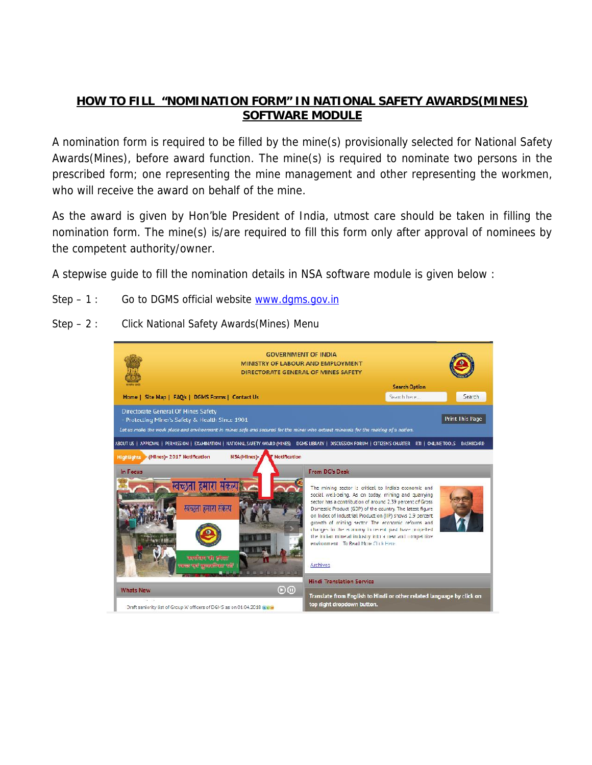## **HOW TO FILL "NOMINATION FORM" IN NATIONAL SAFETY AWARDS(MINES) SOFTWARE MODULE**

A nomination form is required to be filled by the mine(s) provisionally selected for National Safety Awards(Mines), before award function. The mine(s) is required to nominate two persons in the prescribed form; one representing the mine management and other representing the workmen, who will receive the award on behalf of the mine.

As the award is given by Hon'ble President of India, utmost care should be taken in filling the nomination form. The mine(s) is/are required to fill this form only after approval of nominees by the competent authority/owner.

A stepwise guide to fill the nomination details in NSA software module is given below :

- Step  $-1$  : Go to DGMS official website www.dgms.gov.in
- Step 2 : Click National Safety Awards(Mines) Menu

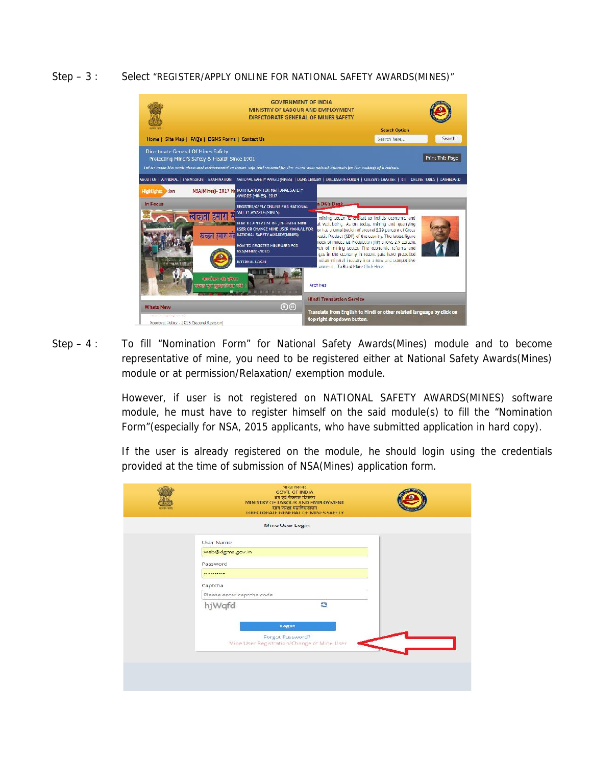## Step – 3 : Select "REGISTER/APPLY ONLINE FOR NATIONAL SAFETY AWARDS(MINES)"



Step – 4 : To fill "Nomination Form" for National Safety Awards(Mines) module and to become representative of mine, you need to be registered either at National Safety Awards(Mines) module or at permission/Relaxation/ exemption module.

> However, if user is not registered on NATIONAL SAFETY AWARDS(MINES) software module, he must have to register himself on the said module(s) to fill the "Nomination Form"(especially for NSA, 2015 applicants, who have submitted application in hard copy).

> If the user is already registered on the module, he should login using the credentials provided at the time of submission of NSA(Mines) application form.

| आरत लकज़र<br><b>GOVT, OF INDIA</b><br>श्रम एवं रोजगार फंगलय<br>MINISTRY OF LABOUR AND EMPLOYMENT.<br>खान लग्क्षा महानिदेशावग<br>DIRECTORATE GENERAL DE MINES SAFETY. |  |
|----------------------------------------------------------------------------------------------------------------------------------------------------------------------|--|
| Mine User Login                                                                                                                                                      |  |
| <b>User Name</b><br>web@dgms.gov.in<br>Password<br><br>Captcha<br>Please enter captcha code                                                                          |  |
| s<br>hjWqfd<br>Log In<br>Forgot Password?<br>Mine User Registration/Change of Mine User                                                                              |  |